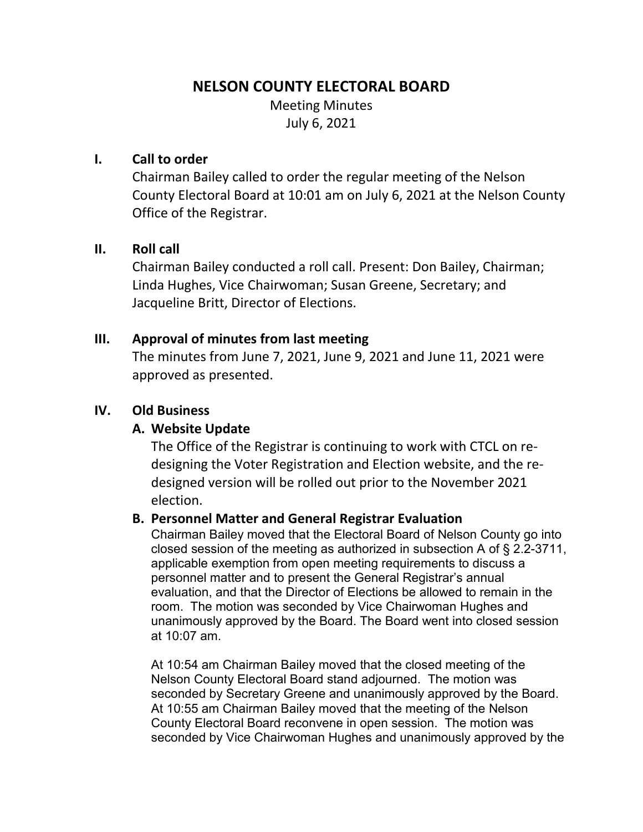## **NELSON COUNTY ELECTORAL BOARD**

Meeting Minutes July 6, 2021

### **I. Call to order**

Chairman Bailey called to order the regular meeting of the Nelson County Electoral Board at 10:01 am on July 6, 2021 at the Nelson County Office of the Registrar.

#### **II. Roll call**

Chairman Bailey conducted a roll call. Present: Don Bailey, Chairman; Linda Hughes, Vice Chairwoman; Susan Greene, Secretary; and Jacqueline Britt, Director of Elections.

#### **III. Approval of minutes from last meeting**

The minutes from June 7, 2021, June 9, 2021 and June 11, 2021 were approved as presented.

## **IV. Old Business**

## **A. Website Update**

The Office of the Registrar is continuing to work with CTCL on redesigning the Voter Registration and Election website, and the redesigned version will be rolled out prior to the November 2021 election.

#### **B. Personnel Matter and General Registrar Evaluation**

Chairman Bailey moved that the Electoral Board of Nelson County go into closed session of the meeting as authorized in subsection A of § 2.2-3711, applicable exemption from open meeting requirements to discuss a personnel matter and to present the General Registrar's annual evaluation, and that the Director of Elections be allowed to remain in the room. The motion was seconded by Vice Chairwoman Hughes and unanimously approved by the Board. The Board went into closed session at 10:07 am.

At 10:54 am Chairman Bailey moved that the closed meeting of the Nelson County Electoral Board stand adjourned. The motion was seconded by Secretary Greene and unanimously approved by the Board. At 10:55 am Chairman Bailey moved that the meeting of the Nelson County Electoral Board reconvene in open session. The motion was seconded by Vice Chairwoman Hughes and unanimously approved by the